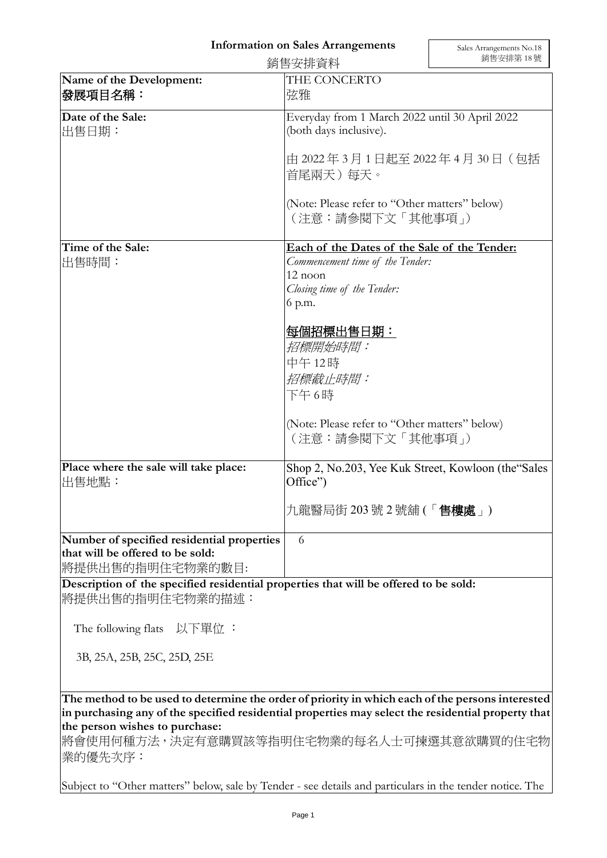## **Information on Sales Arrangements**

|                                                                                                    | 銷售安排資料                                                                                                                                                                                                                                                        | 銷售安排第18號 |
|----------------------------------------------------------------------------------------------------|---------------------------------------------------------------------------------------------------------------------------------------------------------------------------------------------------------------------------------------------------------------|----------|
| Name of the Development:<br>發展項目名稱:                                                                | THE CONCERTO<br>弦雅                                                                                                                                                                                                                                            |          |
| Date of the Sale:<br>出售日期:                                                                         | Everyday from 1 March 2022 until 30 April 2022<br>(both days inclusive).<br>由 2022年3月1日起至 2022年4月 30日 (包括<br>首尾兩天)每天。<br>(Note: Please refer to "Other matters" below)<br>(注意:請參閱下文「其他事項」)                                                                    |          |
|                                                                                                    |                                                                                                                                                                                                                                                               |          |
|                                                                                                    |                                                                                                                                                                                                                                                               |          |
| Time of the Sale:<br>出售時間:                                                                         | Each of the Dates of the Sale of the Tender:<br>Commencement time of the Tender:<br>12 noon<br>Closing time of the Tender:<br>6 p.m.<br>每個招標出售日期:<br>招標開始時間:<br>中午12時<br>招標截止時間:<br>下午6時<br>(Note: Please refer to "Other matters" below)<br>(注意:請參閱下文「其他事項」) |          |
| Place where the sale will take place:<br>出售地點:                                                     | Shop 2, No.203, Yee Kuk Street, Kowloon (the Sales<br>Office")<br>九龍醫局街 203 號 2 號舖 (「 <b>售樓處</b> 」)                                                                                                                                                           |          |
| Number of specified residential properties<br>that will be offered to be sold:<br>將提供出售的指明住宅物業的數目: | 6                                                                                                                                                                                                                                                             |          |

**Description of the specified residential properties that will be offered to be sold:** 將提供出售的指明住宅物業的描述:

The following flats 以下單位 :

3B, 25A, 25B, 25C, 25D, 25E

**The method to be used to determine the order of priority in which each of the persons interested in purchasing any of the specified residential properties may select the residential property that the person wishes to purchase:** 

將會使用何種方法,決定有意購買該等指明住宅物業的每名人士可揀選其意欲購買的住宅物 業的優先次序:

Subject to "Other matters" below, sale by Tender - see details and particulars in the tender notice. The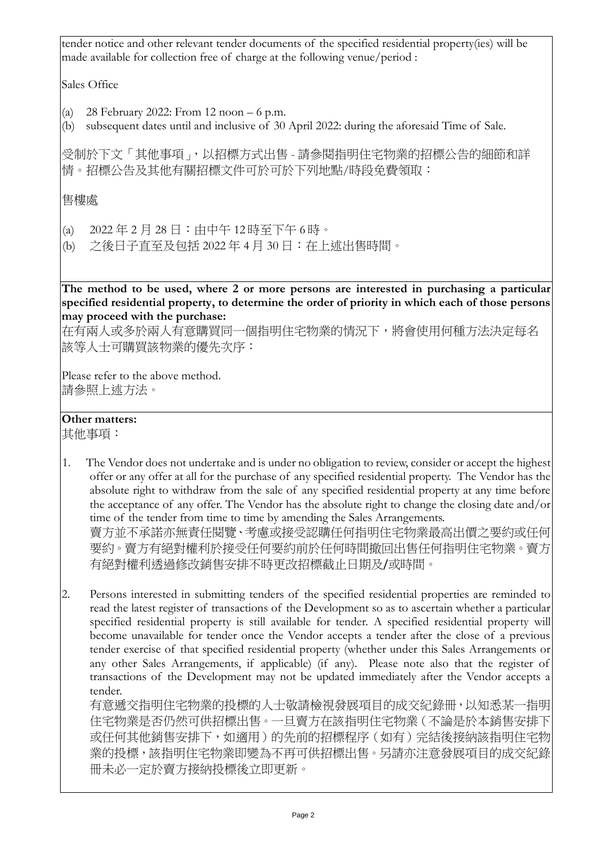tender notice and other relevant tender documents of the specified residential property(ies) will be made available for collection free of charge at the following venue/period :

Sales Office

- (a) 28 February 2022: From 12 noon  $-6$  p.m.
- (b) subsequent dates until and inclusive of 30 April 2022: during the aforesaid Time of Sale.

受制於下文「其他事項」,以招標方式出售 - 請參閱指明住宅物業的招標公告的細節和詳 情。招標公告及其他有關招標文件可於可於下列地點/時段免費領取:

售樓處

- (a) 2022 年 2 月 28 日:由中午 12 時至下午 6 時。
- (b) 之後日子直至及包括 2022 年 4 月 30 日:在上述出售時間。

**The method to be used, where 2 or more persons are interested in purchasing a particular specified residential property, to determine the order of priority in which each of those persons may proceed with the purchase:**

在有兩人或多於兩人有意購買同一個指明住宅物業的情況下,將會使用何種方法決定每名 該等人士可購買該物業的優先次序:

Please refer to the above method. 請參照上述方法。

## **Other matters:**

其他事項:

- 1. The Vendor does not undertake and is under no obligation to review, consider or accept the highest offer or any offer at all for the purchase of any specified residential property. The Vendor has the absolute right to withdraw from the sale of any specified residential property at any time before the acceptance of any offer. The Vendor has the absolute right to change the closing date and/or time of the tender from time to time by amending the Sales Arrangements. 賣方並不承諾亦無責任閱覽、考慮或接受認購任何指明住宅物業最高出價之要約或任何 要約。賣方有絕對權利於接受任何要約前於任何時間撤回出售任何指明住宅物業。賣方 有絕對權利透過修改銷售安排不時更改招標截止日期及/或時間。
- 2. Persons interested in submitting tenders of the specified residential properties are reminded to read the latest register of transactions of the Development so as to ascertain whether a particular specified residential property is still available for tender. A specified residential property will become unavailable for tender once the Vendor accepts a tender after the close of a previous tender exercise of that specified residential property (whether under this Sales Arrangements or any other Sales Arrangements, if applicable) (if any). Please note also that the register of transactions of the Development may not be updated immediately after the Vendor accepts a tender.

有意遞交指明住宅物業的投標的人士敬請檢視發展項目的成交紀錄冊,以知悉某一指明 住宅物業是否仍然可供招標出售。一旦賣方在該指明住宅物業(不論是於本銷售安排下 或任何其他銷售安排下,如適用)的先前的招標程序(如有)完結後接納該指明住宅物 業的投標,該指明住宅物業即變為不再可供招標出售。另請亦注意發展項目的成交紀錄 冊未必一定於賣方接納投標後立即更新。